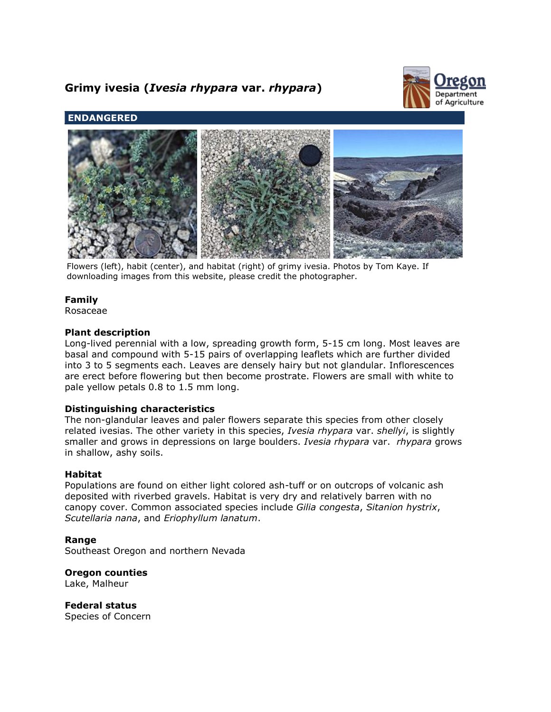# **Grimy ivesia (***Ivesia rhypara* **var.** *rhypara***)**



## **ENDANGERED**



Flowers (left), habit (center), and habitat (right) of grimy ivesia. Photos by Tom Kaye. If downloading images from this website, please credit the photographer.

## **Family**

Rosaceae

#### **Plant description**

Long-lived perennial with a low, spreading growth form, 5-15 cm long. Most leaves are basal and compound with 5-15 pairs of overlapping leaflets which are further divided into 3 to 5 segments each. Leaves are densely hairy but not glandular. Inflorescences are erect before flowering but then become prostrate. Flowers are small with white to pale yellow petals 0.8 to 1.5 mm long.

## **Distinguishing characteristics**

The non-glandular leaves and paler flowers separate this species from other closely related ivesias. The other variety in this species, *Ivesia rhypara* var. *shellyi*, is slightly smaller and grows in depressions on large boulders. *Ivesia rhypara* var. *rhypara* grows in shallow, ashy soils.

#### **Habitat**

Populations are found on either light colored ash-tuff or on outcrops of volcanic ash deposited with riverbed gravels. Habitat is very dry and relatively barren with no canopy cover. Common associated species include *Gilia congesta*, *Sitanion hystrix*, *Scutellaria nana*, and *Eriophyllum lanatum*.

## **Range**

Southeast Oregon and northern Nevada

**Oregon counties** Lake, Malheur

**Federal status** Species of Concern